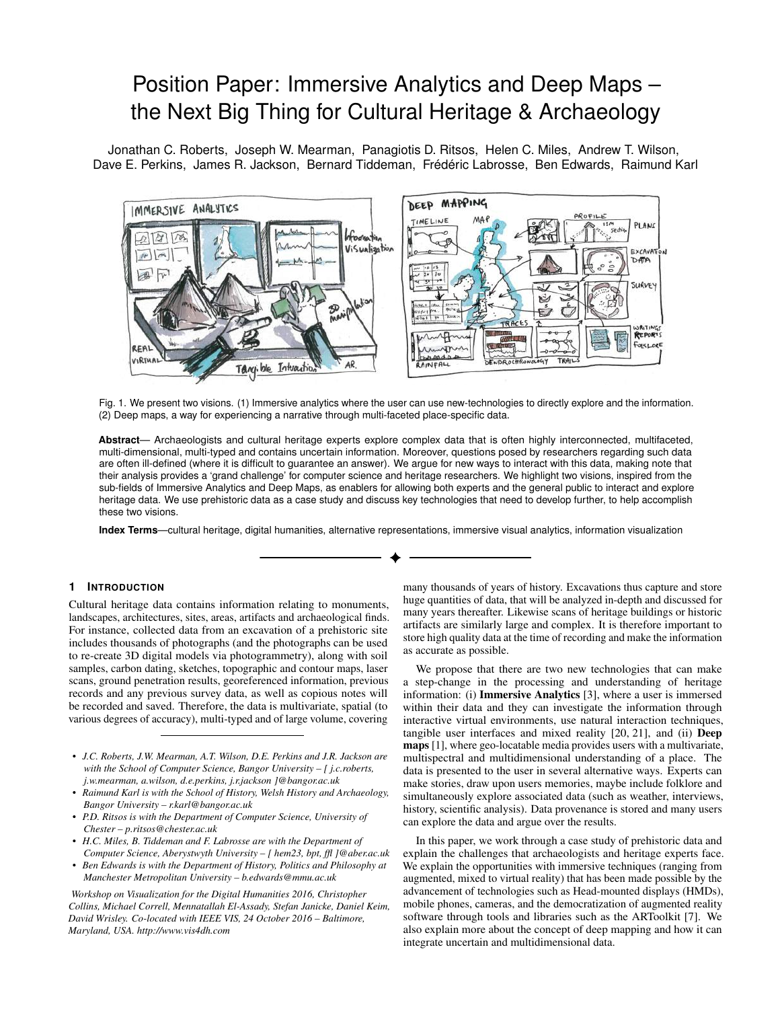# Position Paper: Immersive Analytics and Deep Maps – the Next Big Thing for Cultural Heritage & Archaeology

[Jonathan C. Roberts,](mailto:j.c.roberts@bangor.ac.uk) [Joseph W. Mearman,](mailto:j.w.mearman@bangor.ac.uk) [Panagiotis D. Ritsos,](mailto:p.ritsos@chester.ac.uk) [Helen C. Miles,](mailto:hem23@aber.ac.uk) [Andrew T. Wilson,](mailto:a.wilson@bangor.ac.uk) [Dave E. Perkins,](mailto:d.e.perkins@bangor.ac.uk) [James R. Jackson,](mailto:j.r.jackson@bangor.ac.uk) [Bernard Tiddeman,](mailto:bpt@aber.ac.uk) Frédéric Labrosse, [Ben Edwards,](mailto:b.edwards@mmu.ac.uk) [Raimund Karl](mailto:r.karl@bangor.ac.uk)



Fig. 1. We present two visions. (1) Immersive analytics where the user can use new-technologies to directly explore and the information. (2) Deep maps, a way for experiencing a narrative through multi-faceted place-specific data.

**Abstract**— Archaeologists and cultural heritage experts explore complex data that is often highly interconnected, multifaceted, multi-dimensional, multi-typed and contains uncertain information. Moreover, questions posed by researchers regarding such data are often ill-defined (where it is difficult to guarantee an answer). We argue for new ways to interact with this data, making note that their analysis provides a 'grand challenge' for computer science and heritage researchers. We highlight two visions, inspired from the sub-fields of Immersive Analytics and Deep Maps, as enablers for allowing both experts and the general public to interact and explore heritage data. We use prehistoric data as a case study and discuss key technologies that need to develop further, to help accomplish these two visions.

**Index Terms**—cultural heritage, digital humanities, alternative representations, immersive visual analytics, information visualization

# **1 INTRODUCTION**

Cultural heritage data contains information relating to monuments, landscapes, architectures, sites, areas, artifacts and archaeological finds. For instance, collected data from an excavation of a prehistoric site includes thousands of photographs (and the photographs can be used to re-create 3D digital models via photogrammetry), along with soil samples, carbon dating, sketches, topographic and contour maps, laser scans, ground penetration results, georeferenced information, previous records and any previous survey data, as well as copious notes will be recorded and saved. Therefore, the data is multivariate, spatial (to various degrees of accuracy), multi-typed and of large volume, covering

- *• J.C. Roberts, J.W. Mearman, A.T. Wilson, D.E. Perkins and J.R. Jackson are with the School of Computer Science, Bangor University – [ [j.c.roberts,](mailto:j.c.roberts@bangor.ac.uk) [j.w.mearman,](mailto:j.w.mearman@bangor.ac.uk) [a.wilson,](mailto:a.wilson@bangor.ac.uk) [d.e.perkins,](mailto:d.e.perkins@bangor.ac.uk) [j.r.jackson](mailto:j.r.jackson@bangor.ac.uk) ]@bangor.ac.uk*
- *• Raimund Karl is with the School of History, Welsh History and Archaeology, Bangor University – [r.karl@bangor.ac.uk](mailto:r.karl@bangor.ac.uk)*
- *• P.D. Ritsos is with the Department of Computer Science, University of Chester – [p.ritsos@chester.ac.uk](mailto:p.ritsos@chester.ac.uk)*
- *• H.C. Miles, B. Tiddeman and F. Labrosse are with the Department of Computer Science, Aberystwyth University – [\[ hem23](mailto:hem23@aber.ac.uk)[, bpt,](mailto:bpt@aber.ac.uk) [ffl](mailto:ffl@aber.ac.uk) ]@aber.ac.uk*
- *• Ben Edwards is with the Department of History, Politics and Philosophy at Manchester Metropolitan University – [b.edwards@mmu.ac.uk](mailto:b.edwards@mmu.ac.uk)*

*Workshop on Visualization for the Digital Humanities 2016, Christopher Collins, Michael Correll, Mennatallah El-Assady, Stefan Janicke, Daniel Keim, David Wrisley. Co-located with IEEE VIS, 24 October 2016 – Baltimore, Maryland, USA.<http://www.vis4dh.com>*

many thousands of years of history. Excavations thus capture and store huge quantities of data, that will be analyzed in-depth and discussed for many years thereafter. Likewise scans of heritage buildings or historic artifacts are similarly large and complex. It is therefore important to store high quality data at the time of recording and make the information as accurate as possible.

We propose that there are two new technologies that can make a step-change in the processing and understanding of heritage information: (i) Immersive Analytics [\[3\]](#page-3-0), where a user is immersed within their data and they can investigate the information through interactive virtual environments, use natural interaction techniques, tangible user interfaces and mixed reality [\[20,](#page-3-1) [21\]](#page-3-2), and (ii) Deep maps [\[1\]](#page-3-3), where geo-locatable media provides users with a multivariate, multispectral and multidimensional understanding of a place. The data is presented to the user in several alternative ways. Experts can make stories, draw upon users memories, maybe include folklore and simultaneously explore associated data (such as weather, interviews, history, scientific analysis). Data provenance is stored and many users can explore the data and argue over the results.

In this paper, we work through a case study of prehistoric data and explain the challenges that archaeologists and heritage experts face. We explain the opportunities with immersive techniques (ranging from augmented, mixed to virtual reality) that has been made possible by the advancement of technologies such as Head-mounted displays (HMDs), mobile phones, cameras, and the democratization of augmented reality software through tools and libraries such as the ARToolkit [\[7\]](#page-3-4). We also explain more about the concept of deep mapping and how it can integrate uncertain and multidimensional data.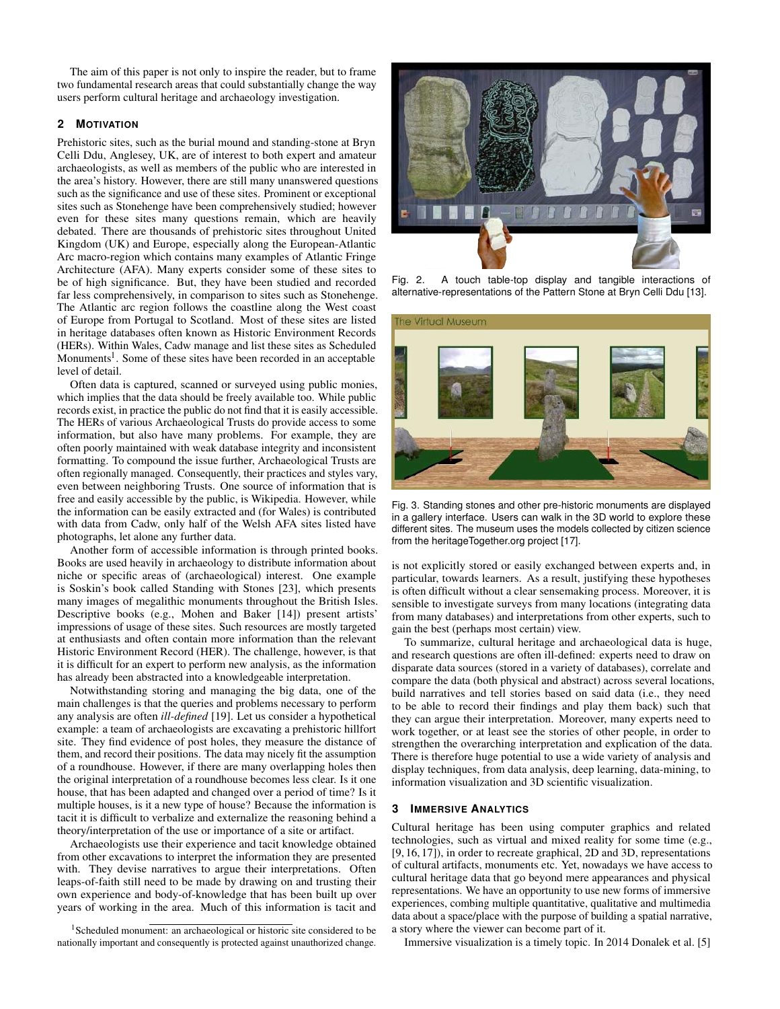The aim of this paper is not only to inspire the reader, but to frame two fundamental research areas that could substantially change the way users perform cultural heritage and archaeology investigation.

## **2 MOTIVATION**

Prehistoric sites, such as the burial mound and standing-stone at Bryn Celli Ddu, Anglesey, UK, are of interest to both expert and amateur archaeologists, as well as members of the public who are interested in the area's history. However, there are still many unanswered questions such as the significance and use of these sites. Prominent or exceptional sites such as Stonehenge have been comprehensively studied; however even for these sites many questions remain, which are heavily debated. There are thousands of prehistoric sites throughout United Kingdom (UK) and Europe, especially along the European-Atlantic Arc macro-region which contains many examples of Atlantic Fringe Architecture (AFA). Many experts consider some of these sites to be of high significance. But, they have been studied and recorded far less comprehensively, in comparison to sites such as Stonehenge. The Atlantic arc region follows the coastline along the West coast of Europe from Portugal to Scotland. Most of these sites are listed in heritage databases often known as Historic Environment Records (HERs). Within Wales, Cadw manage and list these sites as Scheduled Monuments<sup>[1](#page-1-0)</sup>. Some of these sites have been recorded in an acceptable level of detail.

Often data is captured, scanned or surveyed using public monies, which implies that the data should be freely available too. While public records exist, in practice the public do not find that it is easily accessible. The HERs of various Archaeological Trusts do provide access to some information, but also have many problems. For example, they are often poorly maintained with weak database integrity and inconsistent formatting. To compound the issue further, Archaeological Trusts are often regionally managed. Consequently, their practices and styles vary, even between neighboring Trusts. One source of information that is free and easily accessible by the public, is Wikipedia. However, while the information can be easily extracted and (for Wales) is contributed with data from Cadw, only half of the Welsh AFA sites listed have photographs, let alone any further data.

Another form of accessible information is through printed books. Books are used heavily in archaeology to distribute information about niche or specific areas of (archaeological) interest. One example is Soskin's book called Standing with Stones [\[23\]](#page-3-5), which presents many images of megalithic monuments throughout the British Isles. Descriptive books (e.g., Mohen and Baker [\[14\]](#page-3-6)) present artists' impressions of usage of these sites. Such resources are mostly targeted at enthusiasts and often contain more information than the relevant Historic Environment Record (HER). The challenge, however, is that it is difficult for an expert to perform new analysis, as the information has already been abstracted into a knowledgeable interpretation.

Notwithstanding storing and managing the big data, one of the main challenges is that the queries and problems necessary to perform any analysis are often *ill-defined* [\[19\]](#page-3-7). Let us consider a hypothetical example: a team of archaeologists are excavating a prehistoric hillfort site. They find evidence of post holes, they measure the distance of them, and record their positions. The data may nicely fit the assumption of a roundhouse. However, if there are many overlapping holes then the original interpretation of a roundhouse becomes less clear. Is it one house, that has been adapted and changed over a period of time? Is it multiple houses, is it a new type of house? Because the information is tacit it is difficult to verbalize and externalize the reasoning behind a theory/interpretation of the use or importance of a site or artifact.

Archaeologists use their experience and tacit knowledge obtained from other excavations to interpret the information they are presented with. They devise narratives to argue their interpretations. Often leaps-of-faith still need to be made by drawing on and trusting their own experience and body-of-knowledge that has been built up over years of working in the area. Much of this information is tacit and



Fig. 2. A touch table-top display and tangible interactions of alternative-representations of the Pattern Stone at Bryn Celli Ddu [\[13\]](#page-3-8).

<span id="page-1-1"></span>

Fig. 3. Standing stones and other pre-historic monuments are displayed in a gallery interface. Users can walk in the 3D world to explore these different sites. The museum uses the models collected by citizen science from the [heritageTogether.org project \[17\].](http://heritagetogether.org/?page_id=2913)

<span id="page-1-2"></span>is not explicitly stored or easily exchanged between experts and, in particular, towards learners. As a result, justifying these hypotheses is often difficult without a clear sensemaking process. Moreover, it is sensible to investigate surveys from many locations (integrating data from many databases) and interpretations from other experts, such to gain the best (perhaps most certain) view.

To summarize, cultural heritage and archaeological data is huge, and research questions are often ill-defined: experts need to draw on disparate data sources (stored in a variety of databases), correlate and compare the data (both physical and abstract) across several locations, build narratives and tell stories based on said data (i.e., they need to be able to record their findings and play them back) such that they can argue their interpretation. Moreover, many experts need to work together, or at least see the stories of other people, in order to strengthen the overarching interpretation and explication of the data. There is therefore huge potential to use a wide variety of analysis and display techniques, from data analysis, deep learning, data-mining, to information visualization and 3D scientific visualization.

## **3 IMMERSIVE ANALYTICS**

Cultural heritage has been using computer graphics and related technologies, such as virtual and mixed reality for some time (e.g., [\[9,](#page-3-10) [16,](#page-3-11) [17\]](#page-3-9)), in order to recreate graphical, 2D and 3D, representations of cultural artifacts, monuments etc. Yet, nowadays we have access to cultural heritage data that go beyond mere appearances and physical representations. We have an opportunity to use new forms of immersive experiences, combing multiple quantitative, qualitative and multimedia data about a space/place with the purpose of building a spatial narrative, a story where the viewer can become part of it.

Immersive visualization is a timely topic. In 2014 Donalek et al. [\[5\]](#page-3-12)

<span id="page-1-0"></span><sup>&</sup>lt;sup>1</sup>Scheduled monument: an archaeological or historic site considered to be nationally important and consequently is protected against unauthorized change.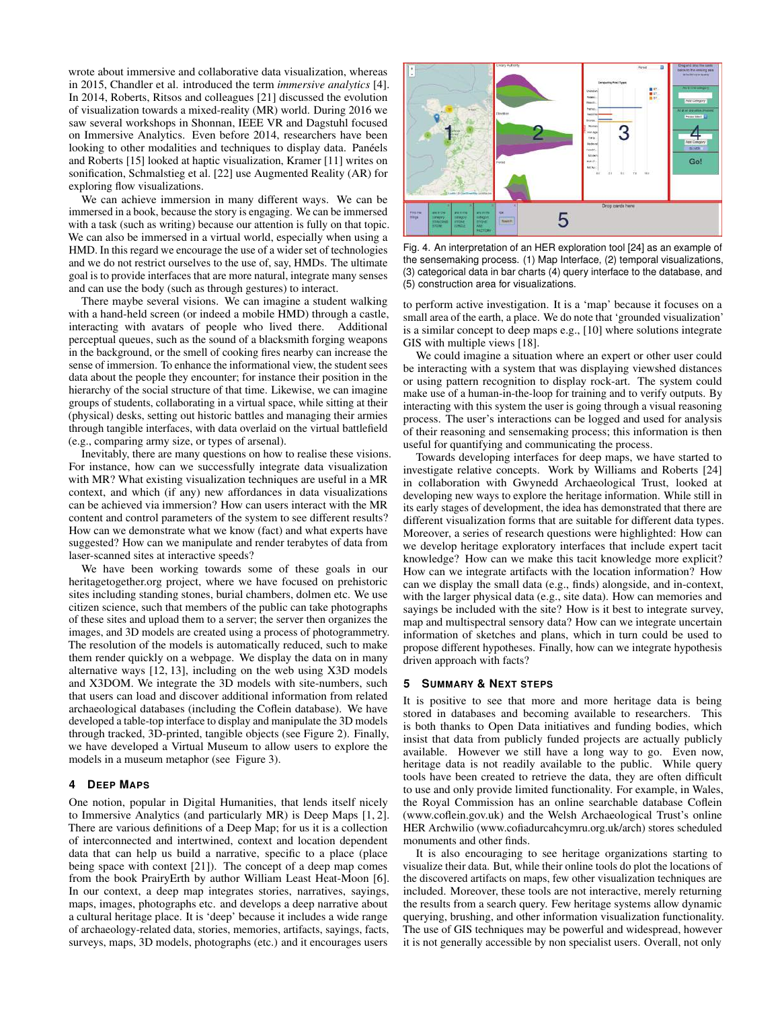wrote about immersive and collaborative data visualization, whereas in 2015, Chandler et al. introduced the term *immersive analytics* [\[4\]](#page-3-13). In 2014, Roberts, Ritsos and colleagues [\[21\]](#page-3-2) discussed the evolution of visualization towards a mixed-reality (MR) world. During 2016 we saw several workshops in Shonnan, IEEE VR and Dagstuhl focused on Immersive Analytics. Even before 2014, researchers have been looking to other modalities and techniques to display data. Panéels and Roberts [\[15\]](#page-3-14) looked at haptic visualization, Kramer [\[11\]](#page-3-15) writes on sonification, Schmalstieg et al. [\[22\]](#page-3-16) use Augmented Reality (AR) for exploring flow visualizations.

We can achieve immersion in many different ways. We can be immersed in a book, because the story is engaging. We can be immersed with a task (such as writing) because our attention is fully on that topic. We can also be immersed in a virtual world, especially when using a HMD. In this regard we encourage the use of a wider set of technologies and we do not restrict ourselves to the use of, say, HMDs. The ultimate goal is to provide interfaces that are more natural, integrate many senses and can use the body (such as through gestures) to interact.

There maybe several visions. We can imagine a student walking with a hand-held screen (or indeed a mobile HMD) through a castle, interacting with avatars of people who lived there. Additional perceptual queues, such as the sound of a blacksmith forging weapons in the background, or the smell of cooking fires nearby can increase the sense of immersion. To enhance the informational view, the student sees data about the people they encounter; for instance their position in the hierarchy of the social structure of that time. Likewise, we can imagine groups of students, collaborating in a virtual space, while sitting at their (physical) desks, setting out historic battles and managing their armies through tangible interfaces, with data overlaid on the virtual battlefield (e.g., comparing army size, or types of arsenal).

Inevitably, there are many questions on how to realise these visions. For instance, how can we successfully integrate data visualization with MR? What existing visualization techniques are useful in a MR context, and which (if any) new affordances in data visualizations can be achieved via immersion? How can users interact with the MR content and control parameters of the system to see different results? How can we demonstrate what we know (fact) and what experts have suggested? How can we manipulate and render terabytes of data from laser-scanned sites at interactive speeds?

We have been working towards some of these goals in our heritagetogether.org project, where we have focused on prehistoric sites including standing stones, burial chambers, dolmen etc. We use citizen science, such that members of the public can take photographs of these sites and upload them to a server; the server then organizes the images, and 3D models are created using a process of photogrammetry. The resolution of the models is automatically reduced, such to make them render quickly on a webpage. We display the data on in many alternative ways [\[12,](#page-3-17) [13\]](#page-3-8), including on the web using X3D models and X3DOM. We integrate the 3D models with site-numbers, such that users can load and discover additional information from related archaeological databases (including the Coflein database). We have developed a table-top interface to display and manipulate the 3D models through tracked, 3D-printed, tangible objects (see Figure [2\)](#page-1-1). Finally, we have developed a Virtual Museum to allow users to explore the models in a museum metaphor (see Figure [3\)](#page-1-2).

## **4 DEEP MAPS**

One notion, popular in Digital Humanities, that lends itself nicely to Immersive Analytics (and particularly MR) is Deep Maps [\[1,](#page-3-3) [2\]](#page-3-18). There are various definitions of a Deep Map; for us it is a collection of interconnected and intertwined, context and location dependent data that can help us build a narrative, specific to a place (place being space with context [\[21\]](#page-3-2)). The concept of a deep map comes from the book PrairyErth by author William Least Heat-Moon [\[6\]](#page-3-19). In our context, a deep map integrates stories, narratives, sayings, maps, images, photographs etc. and develops a deep narrative about a cultural heritage place. It is 'deep' because it includes a wide range of archaeology-related data, stories, memories, artifacts, sayings, facts, surveys, maps, 3D models, photographs (etc.) and it encourages users



Fig. 4. An interpretation of an HER exploration tool [\[24\]](#page-3-20) as an example of the sensemaking process. (1) Map Interface, (2) temporal visualizations, (3) categorical data in bar charts (4) query interface to the database, and (5) construction area for visualizations.

to perform active investigation. It is a 'map' because it focuses on a small area of the earth, a place. We do note that 'grounded visualization' is a similar concept to deep maps e.g., [\[10\]](#page-3-21) where solutions integrate GIS with multiple views [\[18\]](#page-3-22).

We could imagine a situation where an expert or other user could be interacting with a system that was displaying viewshed distances or using pattern recognition to display rock-art. The system could make use of a human-in-the-loop for training and to verify outputs. By interacting with this system the user is going through a visual reasoning process. The user's interactions can be logged and used for analysis of their reasoning and sensemaking process; this information is then useful for quantifying and communicating the process.

Towards developing interfaces for deep maps, we have started to investigate relative concepts. Work by Williams and Roberts [\[24\]](#page-3-20) in collaboration with Gwynedd Archaeological Trust, looked at developing new ways to explore the heritage information. While still in its early stages of development, the idea has demonstrated that there are different visualization forms that are suitable for different data types. Moreover, a series of research questions were highlighted: How can we develop heritage exploratory interfaces that include expert tacit knowledge? How can we make this tacit knowledge more explicit? How can we integrate artifacts with the location information? How can we display the small data (e.g., finds) alongside, and in-context, with the larger physical data (e.g., site data). How can memories and sayings be included with the site? How is it best to integrate survey, map and multispectral sensory data? How can we integrate uncertain information of sketches and plans, which in turn could be used to propose different hypotheses. Finally, how can we integrate hypothesis driven approach with facts?

## **5 SUMMARY & NEXT STEPS**

It is positive to see that more and more heritage data is being stored in databases and becoming available to researchers. This is both thanks to Open Data initiatives and funding bodies, which insist that data from publicly funded projects are actually publicly available. However we still have a long way to go. Even now, heritage data is not readily available to the public. While query tools have been created to retrieve the data, they are often difficult to use and only provide limited functionality. For example, in Wales, the Royal Commission has an online searchable database Coflein [\(www.coflein.gov.uk\)](http://www.coflein.gov.uk/) and the Welsh Archaeological Trust's online HER Archwilio [\(www.cofiadurcahcymru.org.uk/arch\)](http://www.cofiadurcahcymru.org.uk/arch/) stores scheduled monuments and other finds.

It is also encouraging to see heritage organizations starting to visualize their data. But, while their online tools do plot the locations of the discovered artifacts on maps, few other visualization techniques are included. Moreover, these tools are not interactive, merely returning the results from a search query. Few heritage systems allow dynamic querying, brushing, and other information visualization functionality. The use of GIS techniques may be powerful and widespread, however it is not generally accessible by non specialist users. Overall, not only